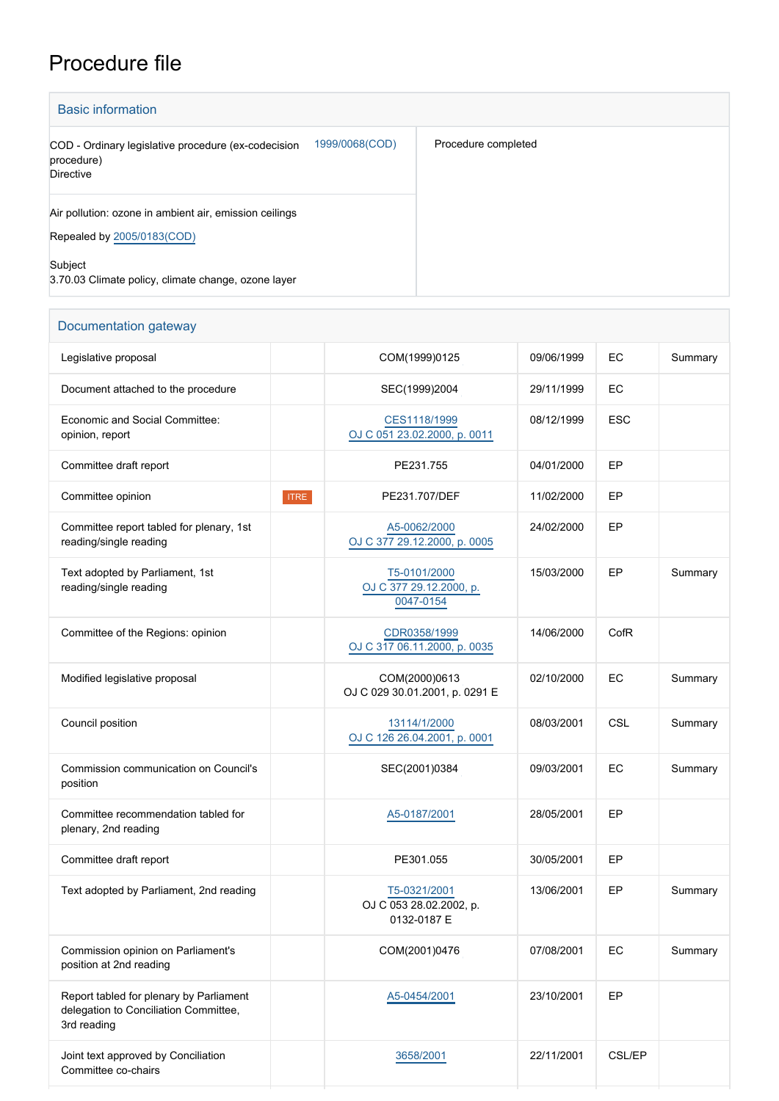## Procedure file

| <b>Basic information</b>                                                              |                |                     |  |  |  |
|---------------------------------------------------------------------------------------|----------------|---------------------|--|--|--|
| COD - Ordinary legislative procedure (ex-codecision<br>procedure)<br><b>Directive</b> | 1999/0068(COD) | Procedure completed |  |  |  |
| Air pollution: ozone in ambient air, emission ceilings<br>Repealed by 2005/0183(COD)  |                |                     |  |  |  |
| Subject<br>3.70.03 Climate policy, climate change, ozone layer                        |                |                     |  |  |  |

| Documentation gateway                                                                           |                                                        |                  |            |         |  |  |  |
|-------------------------------------------------------------------------------------------------|--------------------------------------------------------|------------------|------------|---------|--|--|--|
| Legislative proposal                                                                            | COM(1999)0125                                          | 09/06/1999       | EC         | Summary |  |  |  |
| Document attached to the procedure                                                              | SEC(1999)2004                                          | 29/11/1999       | EC         |         |  |  |  |
| Economic and Social Committee:<br>opinion, report                                               | CES1118/1999<br>OJ C 051 23.02.2000, p. 0011           | 08/12/1999       | <b>ESC</b> |         |  |  |  |
| Committee draft report                                                                          | PE231.755                                              | 04/01/2000       | EP         |         |  |  |  |
| Committee opinion<br><b>ITRE</b>                                                                | PE231.707/DEF                                          | 11/02/2000       | EP         |         |  |  |  |
| Committee report tabled for plenary, 1st<br>reading/single reading                              | A5-0062/2000<br>OJ C 377 29.12.2000, p. 0005           | 24/02/2000       | EP         |         |  |  |  |
| Text adopted by Parliament, 1st<br>reading/single reading                                       | T5-0101/2000<br>OJ C 377 29.12.2000, p.<br>0047-0154   | 15/03/2000       | EP         | Summary |  |  |  |
| Committee of the Regions: opinion                                                               | CDR0358/1999<br>OJ C 317 06.11.2000, p. 0035           | 14/06/2000       | CofR       |         |  |  |  |
| Modified legislative proposal                                                                   | COM(2000)0613<br>OJ C 029 30.01.2001, p. 0291 E        | 02/10/2000       | EC         | Summary |  |  |  |
| Council position                                                                                | 13114/1/2000<br>OJ C 126 26.04.2001, p. 0001           | 08/03/2001       | CSL        | Summary |  |  |  |
| Commission communication on Council's<br>position                                               | SEC(2001)0384                                          | 09/03/2001       | EC         | Summary |  |  |  |
| Committee recommendation tabled for<br>plenary, 2nd reading                                     | A5-0187/2001                                           | 28/05/2001<br>EP |            |         |  |  |  |
| Committee draft report                                                                          | PE301.055                                              | EP<br>30/05/2001 |            |         |  |  |  |
| Text adopted by Parliament, 2nd reading                                                         | T5-0321/2001<br>OJ C 053 28.02.2002, p.<br>0132-0187 E | 13/06/2001       | EP         | Summary |  |  |  |
| Commission opinion on Parliament's<br>position at 2nd reading                                   | COM(2001)0476                                          | 07/08/2001       | EC         | Summary |  |  |  |
| Report tabled for plenary by Parliament<br>delegation to Conciliation Committee,<br>3rd reading | A5-0454/2001                                           | 23/10/2001       | EP         |         |  |  |  |
| Joint text approved by Conciliation<br>Committee co-chairs                                      | 3658/2001                                              | 22/11/2001       | CSL/EP     |         |  |  |  |